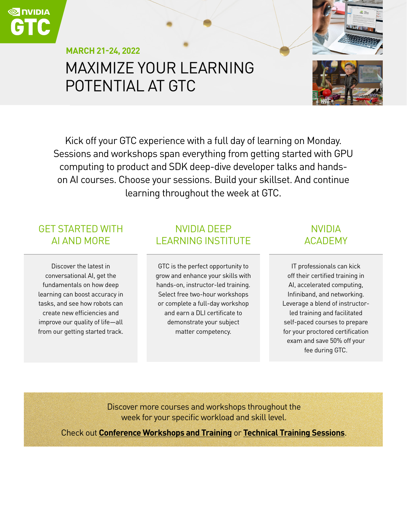# MAXIMIZE YOUR LEARNING POTENTIAL AT GTC **MARCH 21-24, 2022**



Kick off your GTC experience with a full day of learning on Monday. Sessions and workshops span everything from getting started with GPU computing to product and SDK deep-dive developer talks and handson AI courses. Choose your sessions. Build your skillset. And continue learning throughout the week at GTC.

### GET STARTED WITH AI AND MORE

Discover the latest in conversational AI, get the fundamentals on how deep learning can boost accuracy in tasks, and see how robots can create new efficiencies and improve our quality of life—all from our getting started track.

### NVIDIA DEEP LEARNING INSTITUTE

GTC is the perfect opportunity to grow and enhance your skills with hands-on, instructor-led training. Select free two-hour workshops or complete a full-day workshop and earn a DLI certificate to demonstrate your subject matter competency.

### NVIDIA ACADEMY

IT professionals can kick off their certified training in AI, accelerated computing, Infiniband, and networking. Leverage a blend of instructorled training and facilitated self-paced courses to prepare for your proctored certification exam and save 50% off your fee during GTC.

Discover more courses and workshops throughout the week for your specific workload and skill level.

Check out **[Conference Workshops and Training](https://www.nvidia.com/gtc/training/)** or **[Technical Training Sessions](https://www.nvidia.com/gtc/session-catalog/?search.sessiontype=1600813769132006b9WF&search.language=1594320459782001LCjF&tab.scheduledorondemand=1583520458947001NJiE#/)**.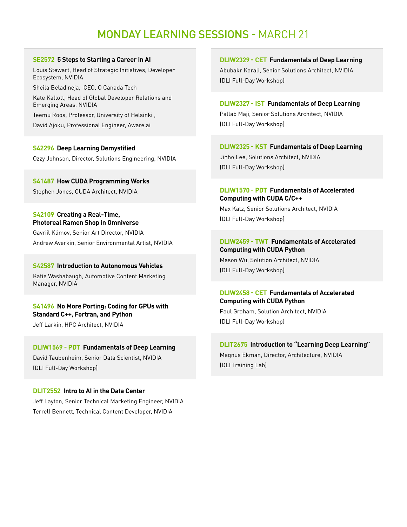## MONDAY LEARNING SESSIONS - MARCH 21

#### **[SE2572 5 Steps to Starting a Career in AI](https://reg.rainfocus.com/flow/nvidia/gtcspring2022/aplive/page/ap/session/1643150696879001ucMs)**

Louis Stewart, Head of Strategic Initiatives, Developer Ecosystem, NVIDIA

Sheila Beladineja, CEO, O Canada Tech

Kate Kallott, Head of Global Developer Relations and Emerging Areas, NVIDIA

Teemu Roos, Professor, University of Helsinki ,

David Ajoku, Professional Engineer, Aware.ai

#### **[S42296 Deep Learning Demystified](https://www.nvidia.com/gtc/session-catalog/?search=S42296%20#/session/1641340729016001rTMb)**

Ozzy Johnson, Director, Solutions Engineering, NVIDIA

#### **[S41487 How CUDA Programming Works](https://reg.rainfocus.com/flow/nvidia/gtcspring2022/aplive/page/ap/session/16372907317160016bDB)**

Stephen Jones, CUDA Architect, NVIDIA

#### **[S42109 Creating a Real-Time,](https://reg.rainfocus.com/flow/nvidia/gtcspring2022/aplive/page/ap/session/1639416215838001qksv)  [Photoreal Ramen Shop in Omniverse](https://reg.rainfocus.com/flow/nvidia/gtcspring2022/aplive/page/ap/session/1639416215838001qksv)**

Gavriil Klimov, Senior Art Director, NVIDIA Andrew Averkin, Senior Environmental Artist, NVIDIA

#### **[S42587 Introduction to Autonomous Vehicles](https://reg.rainfocus.com/flow/nvidia/gtcspring2022/aplive/page/ap/session/1643244158271001WkUI)**

Katie Washabaugh, Automotive Content Marketing Manager, NVIDIA

### **[S41496 No More Porting: Coding for GPUs with](https://reg.rainfocus.com/flow/nvidia/gtcspring2022/aplive/page/ap/session/1637347431411001IRfd)  [Standard C++, Fortran, and Python](https://reg.rainfocus.com/flow/nvidia/gtcspring2022/aplive/page/ap/session/1637347431411001IRfd)**

Jeff Larkin, HPC Architect, NVIDIA

#### **[DLIW1569 - PDT Fundamentals of Deep Learning](https://www.nvidia.com/gtc/session-catalog/?search=DLIW1569#/session/1638307403677001hWt5)**

David Taubenheim, Senior Data Scientist, NVIDIA (DLI Full-Day Workshop)

#### **[DLIT2552 Intro to AI in the Data Center](https://www.nvidia.com/gtc/session-catalog/?search=dlit2552#/session/1642954592252001Q1tK)**

Jeff Layton, Senior Technical Marketing Engineer, NVIDIA Terrell Bennett, Technical Content Developer, NVIDIA

**[DLIW2329 - CET Fundamentals of Deep Learning](https://reg.rainfocus.com/flow/nvidia/gtcspring2022/aplive/page/ap/session/1641595052822001RAEz)**  Abubakr Karali, Senior Solutions Architect, NVIDIA (DLI Full-Day Workshop)

**[DLIW2327 - IST Fundamentals of Deep Learning](https://reg.rainfocus.com/flow/nvidia/gtcspring2022/aplive/page/ap/session/1641595052548001R8XT)** Pallab Maji, Senior Solutions Architect, NVIDIA (DLI Full-Day Workshop)

**[DLIW2325 - KST Fundamentals of Deep Learning](https://reg.rainfocus.com/flow/nvidia/gtcspring2022/aplive/page/ap/session/1641595051842001RZi5)** Jinho Lee, Solutions Architect, NVIDIA (DLI Full-Day Workshop)

#### **[DLIW1570 - PDT Fundamentals of Accelerated](https://www.nvidia.com/gtc/session-catalog/?search=DLIW1570%2C%20DLIW2457&tab.scheduledorondemand=1583520458947001NJiE#/)  [Computing with CUDA C/C++](https://www.nvidia.com/gtc/session-catalog/?search=DLIW1570%2C%20DLIW2457&tab.scheduledorondemand=1583520458947001NJiE#/)**

Max Katz, Senior Solutions Architect, NVIDIA (DLI Full-Day Workshop)

#### **[DLIW2459 - TWT Fundamentals of Accelerated](https://reg.rainfocus.com/flow/nvidia/gtcspring2022/aplive/page/ap/session/1642539479809001UXtb)  [Computing with CUDA Python](https://reg.rainfocus.com/flow/nvidia/gtcspring2022/aplive/page/ap/session/1642539479809001UXtb)**

Mason Wu, Solution Architect, NVIDIA (DLI Full-Day Workshop)

#### **[DLIW2458 - CET Fundamentals of Accelerated](https://reg.rainfocus.com/flow/nvidia/gtcspring2022/aplive/page/ap/session/1642539479671001UEZT)  [Computing with CUDA Python](https://reg.rainfocus.com/flow/nvidia/gtcspring2022/aplive/page/ap/session/1642539479671001UEZT)**

Paul Graham, Solution Architect, NVIDIA (DLI Full-Day Workshop)

#### **[DLIT2675 Introduction to "Learning Deep Learning"](https://www.nvidia.com/gtc/session-catalog/?search.sessiontype=1600813769132006b9WF#/session/1644442404842001Phn2)** Magnus Ekman, Director, Architecture, NVIDIA (DLI Training Lab)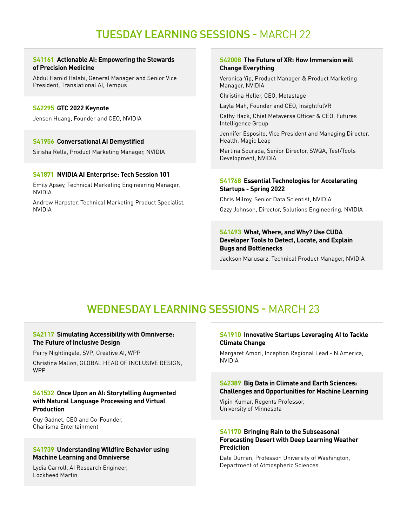## TUESDAY LEARNING SESSIONS - MARCH 22

#### **[S41161 Actionable AI: Empowering the Stewards](https://reg.rainfocus.com/flow/nvidia/gtcspring2022/aplive/page/ap/session/1634856139923001Di8e)  [of Precision Medicine](https://reg.rainfocus.com/flow/nvidia/gtcspring2022/aplive/page/ap/session/1634856139923001Di8e)**

Abdul Hamid Halabi, General Manager and Senior Vice President, Translational AI, Tempus

#### **[S42295 GTC 2022 Keynote](https://www.nvidia.com/gtc/session-catalog/?search=#/session/1641340307961001yn1K)**

Jensen Huang, Founder and CEO, NVIDIA

#### **[S41956 Conversational AI Demystified](https://www.nvidia.com/gtc/session-catalog/?search=S41956&tab.scheduledorondemand=1583520458947001NJiE#/session/1638826676305001PquB)**

Sirisha Rella, Product Marketing Manager, NVIDIA

#### **[S41871 NVIDIA AI Enterprise: Tech Session 101](https://www.nvidia.com/gtc/session-catalog/?search=S41871&tab.scheduledorondemand=1583520458947001NJiE#/session/16385749552290014xS6)**

Emily Apsey, Technical Marketing Engineering Manager, NVIDIA

Andrew Harpster, Technical Marketing Product Specialist, NVIDIA

#### **[S42008 The Future of XR: How Immersion will](https://www.nvidia.com/gtc/session-catalog/?search=S42008&tab.scheduledorondemand=1583520458947001NJiE#/session/1639004464308001e9R4)  [Change Everything](https://www.nvidia.com/gtc/session-catalog/?search=S42008&tab.scheduledorondemand=1583520458947001NJiE#/session/1639004464308001e9R4)**

Veronica Yip, Product Manager & Product Marketing Manager, NVIDIA

Christina Heller, CEO, Metastage

Layla Mah, Founder and CEO, InsightfulVR

Cathy Hack, Chief Metaverse Officer & CEO, Futures Intelligence Group

Jennifer Esposito, Vice President and Managing Director, Health, Magic Leap

Martina Sourada, Senior Director, SWQA, Test/Tools Development, NVIDIA

#### **[S41768 Essential Technologies for Accelerating](https://www.nvidia.com/gtc/session-catalog/?search=S41768&tab.scheduledorondemand=1583520458947001NJiE#/session/16385577143410014GBz)  [Startups - Spring 2022](https://www.nvidia.com/gtc/session-catalog/?search=S41768&tab.scheduledorondemand=1583520458947001NJiE#/session/16385577143410014GBz)**

Chris Milroy, Senior Data Scientist, NVIDIA Ozzy Johnson, Director, Solutions Engineering, NVIDIA

#### **[S41493 What, Where, and Why? Use CUDA](https://www.nvidia.com/gtc/session-catalog/?search=S41493&tab.scheduledorondemand=1583520458947001NJiE#/session/1637335468136001IpFA)  [Developer Tools to Detect, Locate, and Explain](https://www.nvidia.com/gtc/session-catalog/?search=S41493&tab.scheduledorondemand=1583520458947001NJiE#/session/1637335468136001IpFA)  [Bugs and Bottlenecks](https://www.nvidia.com/gtc/session-catalog/?search=S41493&tab.scheduledorondemand=1583520458947001NJiE#/session/1637335468136001IpFA)**

Jackson Marusarz, Technical Product Manager, NVIDIA

## WEDNESDAY LEARNING SESSIONS - MARCH 23

#### **[S42117 Simulating Accessibility with Omniverse:](https://reg.rainfocus.com/flow/nvidia/gtcspring2022/aplive/page/ap/session/1639431086223001sdE0)  [The Future of Inclusive Design](https://reg.rainfocus.com/flow/nvidia/gtcspring2022/aplive/page/ap/session/1639431086223001sdE0)**

Perry Nightingale, SVP, Creative AI, WPP

Christina Mallon, GLOBAL HEAD OF INCLUSIVE DESIGN, WPP

#### **[S41532 Once Upon an AI: Storytelling Augmented](https://reg.rainfocus.com/flow/nvidia/gtcspring2022/aplive/page/ap/session/1638008592700001mZ5U)  [with Natural Language Processing and Virtual](https://reg.rainfocus.com/flow/nvidia/gtcspring2022/aplive/page/ap/session/1638008592700001mZ5U)  [Production](https://reg.rainfocus.com/flow/nvidia/gtcspring2022/aplive/page/ap/session/1638008592700001mZ5U)**

Guy Gadnet, CEO and Co-Founder, Charisma Entertainment

#### **[S41739 Understanding Wildfire Behavior using](https://reg.rainfocus.com/flow/nvidia/gtcspring2022/aplive/page/ap/session/16385515649950015oJa)  [Machine Learning and Omniverse](https://reg.rainfocus.com/flow/nvidia/gtcspring2022/aplive/page/ap/session/16385515649950015oJa)**

Lydia Carroll, AI Research Engineer, Lockheed Martin

#### **[S41910 Innovative Startups Leveraging AI to Tackle](https://reg.rainfocus.com/flow/nvidia/gtcspring2022/aplive/page/ap/session/1638583136650001OxCV)  [Climate Change](https://reg.rainfocus.com/flow/nvidia/gtcspring2022/aplive/page/ap/session/1638583136650001OxCV)**

Margaret Amori, Inception Regional Lead - N.America, NVIDIA

#### **[S42389 Big Data in Climate and Earth Sciences:](https://reg.rainfocus.com/flow/nvidia/gtcspring2022/aplive/page/ap/session/16420941946560019Vdr)  [Challenges and Opportunities for Machine Learning](https://reg.rainfocus.com/flow/nvidia/gtcspring2022/aplive/page/ap/session/16420941946560019Vdr)**

Vipin Kumar, Regents Professor, University of Minnesota

#### **[S41170 Bringing Rain to the Subseasonal](https://reg.rainfocus.com/flow/nvidia/gtcspring2022/aplive/page/ap/session/1634865581944001tpsj)  [Forecasting Desert with Deep Learning Weather](https://reg.rainfocus.com/flow/nvidia/gtcspring2022/aplive/page/ap/session/1634865581944001tpsj)  [Prediction](https://reg.rainfocus.com/flow/nvidia/gtcspring2022/aplive/page/ap/session/1634865581944001tpsj)**

Dale Durran, Professor, University of Washington, Department of Atmospheric Sciences